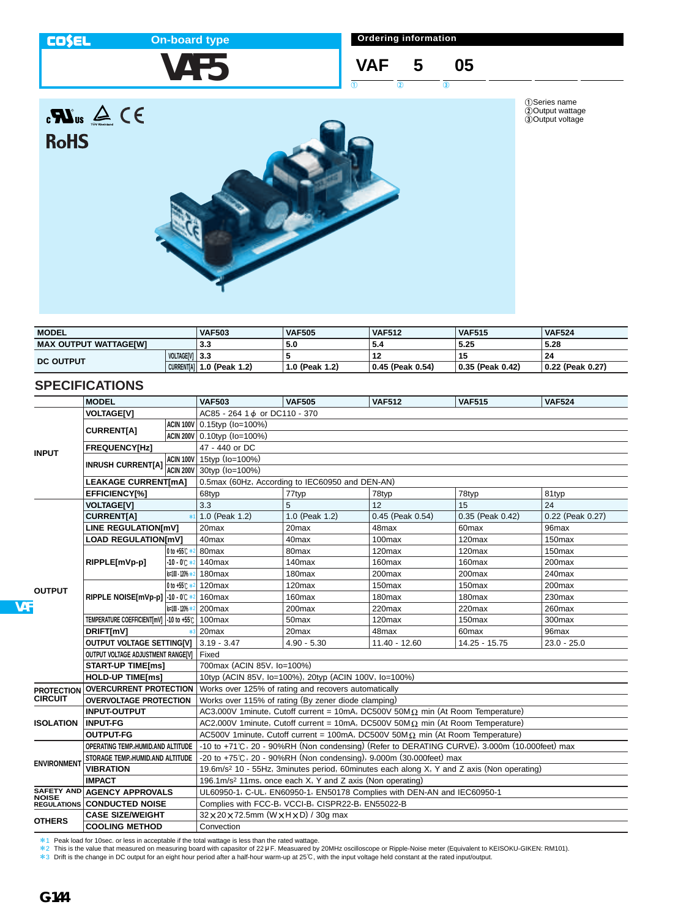#### **COSEL**

**RoHS** 

# **On-board type**

**VAF5**

**Ordering information**

## **VAF 5 05**  $\overline{0}$   $\overline{0}$   $\overline{0}$   $\overline{0}$

1Series name 2Output wattage 3Output voltage



| <b>MODEL</b>                 |                | <b>VAF503</b>               | <b>VAF505</b>  | <b>VAF512</b>    | <b>VAF515</b>    | <b>VAF524</b>          |
|------------------------------|----------------|-----------------------------|----------------|------------------|------------------|------------------------|
| <b>MAX OUTPUT WATTAGE[W]</b> |                | 3.3                         | 5.0            | -5.4             | 5.25             | 5.28                   |
| <b>DC OUTPUT</b>             | VOLTAGE[V] 3.3 |                             |                |                  | 15               | 24                     |
|                              |                | CURRENT[A]   1.0 (Peak 1.2) | 1.0 (Peak 1.2) | 0.45 (Peak 0.54) | 0.35 (Peak 0.42) | $\pm$ 0.22 (Peak 0.27) |

## **SPECIFICATIONS**

|                    | <b>MODEL</b>                                   |                       | <b>VAF503</b>                                                                                | <b>VAF505</b>                                                                                         | <b>VAF512</b>      | <b>VAF515</b>      | <b>VAF524</b>      |  |  |
|--------------------|------------------------------------------------|-----------------------|----------------------------------------------------------------------------------------------|-------------------------------------------------------------------------------------------------------|--------------------|--------------------|--------------------|--|--|
|                    | <b>VOLTAGE[V]</b>                              |                       | AC85 - 264 1 d or DC110 - 370                                                                |                                                                                                       |                    |                    |                    |  |  |
| <b>INPUT</b>       |                                                |                       | ACIN 100V 0.15typ (Io=100%)                                                                  |                                                                                                       |                    |                    |                    |  |  |
|                    | <b>CURRENTIA1</b>                              |                       | ACIN 200V 0.10typ (Io=100%)                                                                  |                                                                                                       |                    |                    |                    |  |  |
|                    | FREQUENCY[Hz]                                  |                       | 47 - 440 or DC                                                                               |                                                                                                       |                    |                    |                    |  |  |
|                    |                                                |                       | ACIN 100V 15typ (Io=100%)                                                                    |                                                                                                       |                    |                    |                    |  |  |
|                    | <b>INRUSH CURRENT[A]</b>                       | ACIN 200V             | 30typ (lo=100%)                                                                              |                                                                                                       |                    |                    |                    |  |  |
|                    | <b>LEAKAGE CURRENT[mA]</b>                     |                       | 0.5max (60Hz, According to IEC60950 and DEN-AN)                                              |                                                                                                       |                    |                    |                    |  |  |
|                    | EFFICIENCY[%]                                  |                       | 68typ                                                                                        | 77typ                                                                                                 | 78typ              | 78typ              | 81typ              |  |  |
|                    | <b>VOLTAGE[V]</b>                              |                       |                                                                                              | 5                                                                                                     | 12                 | 15                 | 24                 |  |  |
|                    | <b>CURRENT[A]</b>                              | $*1$                  | 1.0 (Peak 1.2)                                                                               | 1.0 (Peak 1.2)                                                                                        | 0.45 (Peak 0.54)   | 0.35 (Peak 0.42)   | 0.22 (Peak 0.27)   |  |  |
|                    | LINE REGULATION[mV]                            |                       | 20max                                                                                        | 20 <sub>max</sub>                                                                                     | 48max              | 60max              | 96max              |  |  |
|                    | <b>LOAD REGULATION[mV]</b>                     |                       | 40max                                                                                        | 40max                                                                                                 | 100max             | 120max             | $150$ max          |  |  |
|                    |                                                | 0 to +55 C *2         | 80max                                                                                        | 80 <sub>max</sub>                                                                                     | $120$ max          | 120max             | 150 <sub>max</sub> |  |  |
|                    | RIPPLE[mVp-p]                                  | $-10 - 0$ °C $*2$     | 140max                                                                                       | 140 <sub>max</sub>                                                                                    | 160max             | 160max             | 200max             |  |  |
|                    |                                                | $10 - 100 - 120% * 2$ | 180 <sub>max</sub>                                                                           | 180 <sub>max</sub>                                                                                    | 200max             | 200max             | 240max             |  |  |
| <b>OUTPUT</b>      |                                                | 0 to +55℃ *2          | 120 <sub>max</sub>                                                                           | 120 <sub>max</sub>                                                                                    | 150max             | 150max             | 200max             |  |  |
|                    | RIPPLE NOISE[mVp-p] -10 - 0°C *2               |                       | 160max                                                                                       | 160max                                                                                                | 180 <sub>max</sub> | 180 <sub>max</sub> | 230 <sub>max</sub> |  |  |
|                    |                                                | lo:100 - 120% * 2     | 200max                                                                                       | 200max                                                                                                | 220max             | 220max             | $260$ max          |  |  |
|                    | TEMPERATURE COEFFICIENT[mV] -10 to +55℃ 100max |                       |                                                                                              | 50 <sub>max</sub>                                                                                     | 120 <sub>max</sub> | 150 <sub>max</sub> | 300 <sub>max</sub> |  |  |
|                    | DRIFT[mV]<br>$*3$                              |                       | 20max                                                                                        | 20max                                                                                                 | 48max              | 60 <sub>max</sub>  | 96max              |  |  |
|                    | <b>OUTPUT VOLTAGE SETTING[V]</b>               |                       | $3.19 - 3.47$                                                                                | $4.90 - 5.30$                                                                                         | 11.40 - 12.60      | 14.25 - 15.75      | $23.0 - 25.0$      |  |  |
|                    | OUTPUT VOLTAGE ADJUSTMENT RANGEIVI             |                       | Fixed                                                                                        |                                                                                                       |                    |                    |                    |  |  |
|                    | <b>START-UP TIME[ms]</b>                       |                       | 700max (ACIN 85V, Io=100%)                                                                   |                                                                                                       |                    |                    |                    |  |  |
|                    | <b>HOLD-UP TIME[ms]</b>                        |                       | 10typ (ACIN 85V, Io=100%), 20typ (ACIN 100V, Io=100%)                                        |                                                                                                       |                    |                    |                    |  |  |
| <b>PROTECTION</b>  | <b>OVERCURRENT PROTECTION</b>                  |                       | Works over 125% of rating and recovers automatically                                         |                                                                                                       |                    |                    |                    |  |  |
| <b>CIRCUIT</b>     | <b>OVERVOLTAGE PROTECTION</b>                  |                       | Works over 115% of rating (By zener diode clamping)                                          |                                                                                                       |                    |                    |                    |  |  |
|                    | <b>INPUT-OUTPUT</b>                            |                       | AC3,000V 1minute, Cutoff current = 10mA, DC500V 50M $\Omega$ min (At Room Temperature)       |                                                                                                       |                    |                    |                    |  |  |
| <b>ISOLATION</b>   | <b>INPUT-FG</b>                                |                       | AC2,000V 1minute, Cutoff current = 10mA, DC500V 50M $\Omega$ min (At Room Temperature)       |                                                                                                       |                    |                    |                    |  |  |
|                    | <b>OUTPUT-FG</b>                               |                       | AC500V 1minute, Cutoff current = 100mA, DC500V 50M $\Omega$ min (At Room Temperature)        |                                                                                                       |                    |                    |                    |  |  |
| <b>ENVIRONMENT</b> | OPERATING TEMP., HUMID.AND ALTITUDE            |                       | -10 to +71°C, 20 - 90%RH (Non condensing) (Refer to DERATING CURVE), 3,000m (10,000feet) max |                                                                                                       |                    |                    |                    |  |  |
|                    | STORAGE TEMP., HUMID. AND ALTITUDE             |                       | -20 to +75°C, 20 - 90%RH (Non condensing), 9,000m (30,000feet) max                           |                                                                                                       |                    |                    |                    |  |  |
|                    |                                                | <b>VIBRATION</b>      |                                                                                              | 19.6m/s <sup>2</sup> 10 - 55Hz, 3minutes period, 60minutes each along X, Y and Z axis (Non operating) |                    |                    |                    |  |  |
|                    | <b>IMPACT</b>                                  |                       | 196.1m/s <sup>2</sup> 11ms, once each X, Y and Z axis (Non operating)                        |                                                                                                       |                    |                    |                    |  |  |
|                    | SAFETY AND AGENCY APPROVALS                    |                       | UL60950-1, C-UL, EN60950-1, EN50178 Complies with DEN-AN and IEC60950-1                      |                                                                                                       |                    |                    |                    |  |  |
|                    | <b>REGULATIONS CONDUCTED NOISE</b>             |                       |                                                                                              | Complies with FCC-B, VCCI-B, CISPR22-B, EN55022-B                                                     |                    |                    |                    |  |  |
| <b>OTHERS</b>      | <b>CASE SIZE/WEIGHT</b>                        |                       | $32 \times 20 \times 72.5$ mm (W $\times$ H $\times$ D) / 30g max                            |                                                                                                       |                    |                    |                    |  |  |
|                    | <b>COOLING METHOD</b>                          |                       | Convection                                                                                   |                                                                                                       |                    |                    |                    |  |  |

\*1 Peak load for 10sec. or less in acceptable if the total wattage is less than the rated wattage.<br>\*2 This is the value that measured on measuring board with capasitor of 22 µ F. Measuared by 20MHz oscilloscope or Rippl

**VA**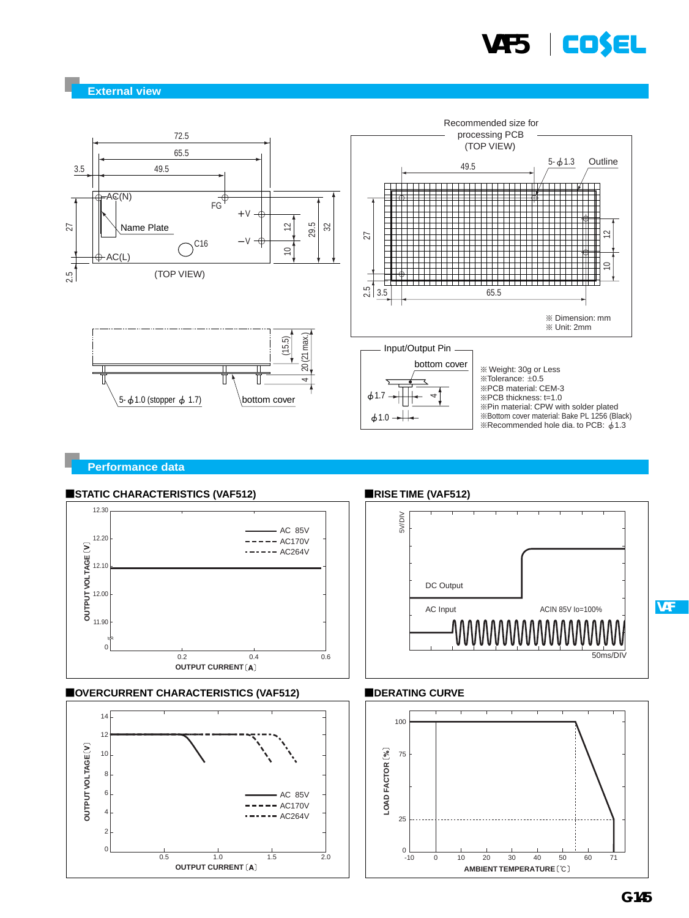

**External view**



#### **Performance data**

 $\Omega$ 

 $\overline{2}$ 4 6



 $0 - 10$ 

25

AC 85V  $- ACI70V$  $-$  AC264V

0.5 1.0 1.5 2.0

**OUTPUT CURRENT**

#### **STATIC CHARACTERISTICS (VAF512)**

**VAF**

-10 0 10 20 30 40 50 60 71

**AMBIENT TEMPERATURE**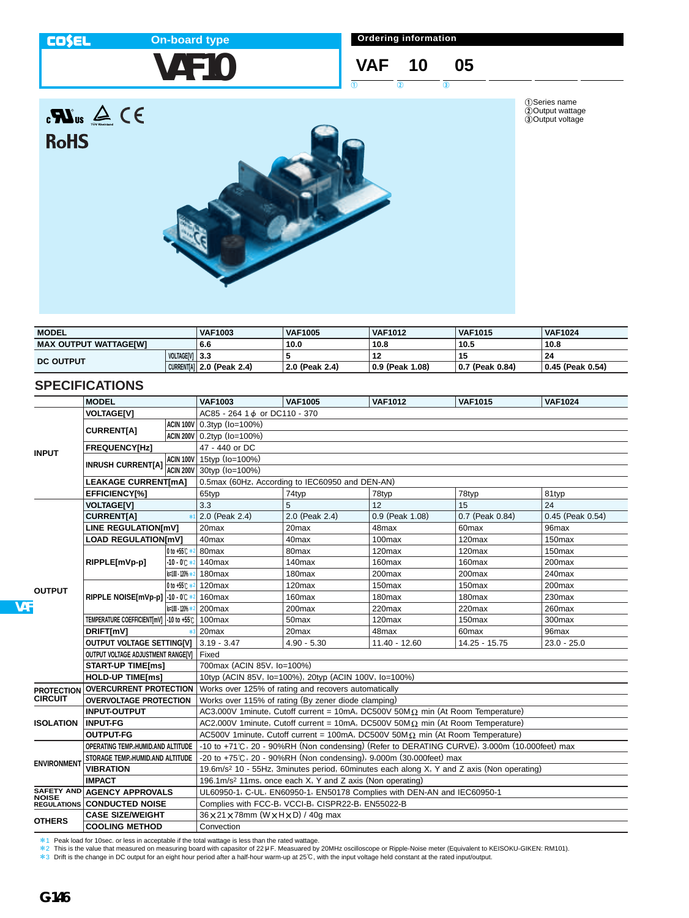#### **COSEL**

**RoHS** 

## **On-board type**

**VAF10**

**Ordering information**

# **VAF 10 05**

 $\overline{0}$   $\overline{0}$   $\overline{0}$   $\overline{0}$ 

1Series name 2Output wattage 3Output voltage



| <b>MODEL</b>                 |                | <b>VAF1003</b>              | <b>VAF1005</b> | <b>VAF1012</b>  | <b>VAF1015</b>    | <b>VAF1024</b>   |
|------------------------------|----------------|-----------------------------|----------------|-----------------|-------------------|------------------|
| <b>MAX OUTPUT WATTAGE[W]</b> |                | 6.6                         | 10.0           | 10.8            | 10.5              | 10.8             |
| <b>DC OUTPUT</b>             | VOLTAGE[V] 3.3 |                             |                |                 | 15                | 24               |
|                              |                | CURRENT[A]   2.0 (Peak 2.4) | 2.0 (Peak 2.4) | 0.9 (Peak 1.08) | ∣ 0.7 (Peak 0.84) | 0.45 (Peak 0.54) |

## **SPECIFICATIONS**

|                    | <b>MODEL</b>                            |                  | <b>VAF1003</b>                                                                                        | <b>VAF1005</b>                                    | <b>VAF1012</b>     | <b>VAF1015</b>     | <b>VAF1024</b>     |  |  |
|--------------------|-----------------------------------------|------------------|-------------------------------------------------------------------------------------------------------|---------------------------------------------------|--------------------|--------------------|--------------------|--|--|
|                    | <b>VOLTAGE[V]</b>                       |                  | AC85 - 264 1 d or DC110 - 370                                                                         |                                                   |                    |                    |                    |  |  |
| <b>INPUT</b>       | <b>CURRENTIA1</b>                       |                  | ACIN 100V 0.3typ (Io=100%)                                                                            |                                                   |                    |                    |                    |  |  |
|                    |                                         |                  | ACIN 200V 0.2typ (Io=100%)                                                                            |                                                   |                    |                    |                    |  |  |
|                    | <b>FREQUENCY[Hz]</b>                    |                  | 47 - 440 or DC                                                                                        |                                                   |                    |                    |                    |  |  |
|                    | <b>INRUSH CURRENT[A]</b>                |                  | ACIN 100V 15typ (Io=100%)                                                                             |                                                   |                    |                    |                    |  |  |
|                    |                                         | ACIN 200V        | 30typ (lo=100%)                                                                                       |                                                   |                    |                    |                    |  |  |
|                    | <b>LEAKAGE CURRENT[mA]</b>              |                  | 0.5max (60Hz, According to IEC60950 and DEN-AN)                                                       |                                                   |                    |                    |                    |  |  |
|                    | EFFICIENCY[%]                           |                  | 65typ                                                                                                 | 74typ                                             | 78typ              | 78typ              | 81typ              |  |  |
|                    | <b>VOLTAGE[V]</b>                       |                  | 3.3                                                                                                   | 5                                                 | 12                 | 15                 | 24                 |  |  |
|                    | <b>CURRENT[A]</b>                       |                  | 2.0 (Peak 2.4)                                                                                        | 2.0 (Peak 2.4)                                    | 0.9 (Peak 1.08)    | 0.7 (Peak 0.84)    | 0.45 (Peak 0.54)   |  |  |
|                    | <b>LINE REGULATION[mV]</b>              |                  | 20max                                                                                                 | 20 <sub>max</sub>                                 | 48max              | 60 <sub>max</sub>  | 96max              |  |  |
|                    | <b>LOAD REGULATION[mV]</b>              |                  | 40max                                                                                                 | 40 <sub>max</sub>                                 | 100max             | 120max             | 150 <sub>max</sub> |  |  |
|                    |                                         | 0 to +55℃ *2     | 80 <sub>max</sub>                                                                                     | 80 <sub>max</sub>                                 | 120max             | 120max             | 150 <sub>max</sub> |  |  |
|                    | RIPPLE[mVp-p]                           | $-10 - 0$ $+2$   | 140 <sub>max</sub>                                                                                    | 140 <sub>max</sub>                                | 160 <sub>max</sub> | 160max             | 200max             |  |  |
|                    |                                         | lo=100 - 120% *2 | 180 <sub>max</sub>                                                                                    | 180max                                            | 200 <sub>max</sub> | 200 <sub>max</sub> | 240max             |  |  |
| <b>OUTPUT</b>      |                                         | 0 to +55℃ *2     | 120 <sub>max</sub>                                                                                    | 120max                                            | 150 <sub>max</sub> | 150 <sub>max</sub> | 200max             |  |  |
|                    | RIPPLE NOISE[mVp-p] -10 - 0°C *2        |                  | 160 <sub>max</sub>                                                                                    | 160max                                            | 180 <sub>max</sub> | 180 <sub>max</sub> | 230max             |  |  |
|                    |                                         | lo=100 - 120% *2 | 200max                                                                                                | 200max                                            | $220$ max          | 220max             | 260max             |  |  |
|                    | TEMPERATURE COEFFICIENT[mV] -10 to +55℃ |                  | 100max                                                                                                | 50 <sub>max</sub>                                 | $120$ max          | 150 <sub>max</sub> | 300max             |  |  |
|                    | DRIFT[mV]<br>$*3$                       |                  | 20 <sub>max</sub>                                                                                     | 20max                                             | 48max              | 60 <sub>max</sub>  | 96max              |  |  |
|                    | OUTPUT VOLTAGE SETTING[V]               |                  | $3.19 - 3.47$                                                                                         | $4.90 - 5.30$                                     | 11.40 - 12.60      | 14.25 - 15.75      | $23.0 - 25.0$      |  |  |
|                    | OUTPUT VOLTAGE ADJUSTMENT RANGE[V]      |                  | Fixed                                                                                                 |                                                   |                    |                    |                    |  |  |
|                    | <b>START-UP TIME[ms]</b>                |                  | 700max (ACIN 85V, Io=100%)                                                                            |                                                   |                    |                    |                    |  |  |
|                    | <b>HOLD-UP TIME[ms]</b>                 |                  | 10typ (ACIN 85V, Io=100%), 20typ (ACIN 100V, Io=100%)                                                 |                                                   |                    |                    |                    |  |  |
| <b>PROTECTION</b>  | <b>OVERCURRENT PROTECTION</b>           |                  | Works over 125% of rating and recovers automatically                                                  |                                                   |                    |                    |                    |  |  |
| <b>CIRCUIT</b>     | <b>OVERVOLTAGE PROTECTION</b>           |                  | Works over 115% of rating (By zener diode clamping)                                                   |                                                   |                    |                    |                    |  |  |
|                    | <b>INPUT-OUTPUT</b>                     |                  | AC3,000V 1minute, Cutoff current = 10mA, DC500V 50M $\Omega$ min (At Room Temperature)                |                                                   |                    |                    |                    |  |  |
| <b>ISOLATION</b>   | <b>INPUT-FG</b>                         |                  | AC2,000V 1minute, Cutoff current = 10mA, DC500V 50M $\Omega$ min (At Room Temperature)                |                                                   |                    |                    |                    |  |  |
|                    | <b>OUTPUT-FG</b>                        |                  | AC500V 1minute, Cutoff current = 100mA, DC500V 50M $\Omega$ min (At Room Temperature)                 |                                                   |                    |                    |                    |  |  |
| <b>ENVIRONMENT</b> | OPERATING TEMP. HUMID.AND ALTITUDE      |                  | -10 to +71°C, 20 - 90%RH (Non condensing) (Refer to DERATING CURVE), 3,000m (10,000feet) max          |                                                   |                    |                    |                    |  |  |
|                    | STORAGE TEMP., HUMID. AND ALTITUDE      |                  | -20 to +75℃, 20 - 90%RH (Non condensing), 9,000m (30,000feet) max                                     |                                                   |                    |                    |                    |  |  |
|                    | <b>VIBRATION</b>                        |                  | 19.6m/s <sup>2</sup> 10 - 55Hz, 3minutes period, 60minutes each along X, Y and Z axis (Non operating) |                                                   |                    |                    |                    |  |  |
|                    | <b>IMPACT</b>                           |                  | 196.1m/s <sup>2</sup> 11ms, once each X, Y and Z axis (Non operating)                                 |                                                   |                    |                    |                    |  |  |
|                    | SAFETY AND AGENCY APPROVALS             |                  | UL60950-1, C-UL, EN60950-1, EN50178 Complies with DEN-AN and IEC60950-1                               |                                                   |                    |                    |                    |  |  |
|                    | <b>REGULATIONS CONDUCTED NOISE</b>      |                  |                                                                                                       | Complies with FCC-B, VCCI-B, CISPR22-B, EN55022-B |                    |                    |                    |  |  |
| <b>OTHERS</b>      | <b>CASE SIZE/WEIGHT</b>                 |                  | 36×21×78mm (W×H×D) / 40g max                                                                          |                                                   |                    |                    |                    |  |  |
|                    | <b>COOLING METHOD</b>                   |                  | Convection                                                                                            |                                                   |                    |                    |                    |  |  |

\*1 Peak load for 10sec. or less in acceptable if the total wattage is less than the rated wattage.<br>\*2 This is the value that measured on measuring board with capasitor of 22 µ F. Measuared by 20MHz oscilloscope or Rippl

**VA**